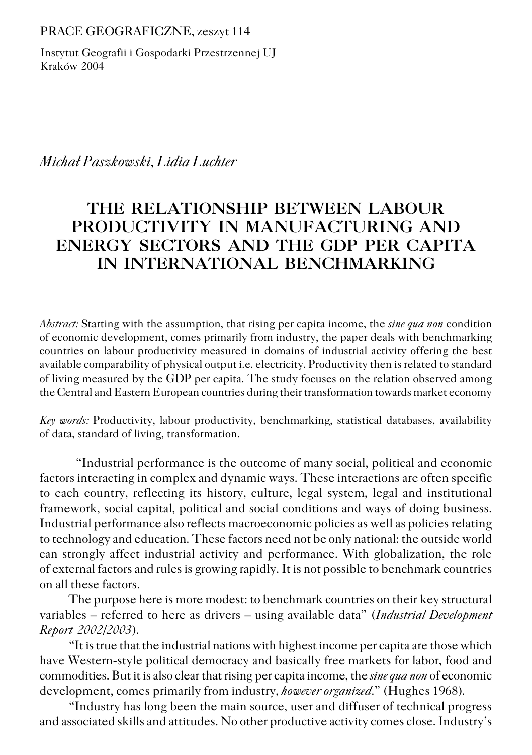PRACE GEOGRAFICZNE, zeszyt 114

Instytut Geografii i Gospodarki Przestrzennej UJ Kraków 2004

*Michał Paszkowski, Lidia Luchter*

## **THE RELATIONSHIP BETWEEN LABOUR PRODUCTIVITY IN MANUFACTURING AND ENERGY SECTORS AND THE GDP PER CAPITA IN INTERNATIONAL BENCHMARKING**

*Abstract:* Starting with the assumption, that rising per capita income, the *sine qua non* condition of economic development, comes primarily from industry, the paper deals with benchmarking countries on labour productivity measured in domains of industrial activity offering the best available comparability of physical output i.e. electricity. Productivity then is related to standard of living measured by the GDP per capita. The study focuses on the relation observed among the Central and Eastern European countries during their transformation towards market economy

*Key words:* Productivity, labour productivity, benchmarking, statistical databases, availability of data, standard of living, transformation.

"Industrial performance is the outcome of many social, political and economic factors interacting in complex and dynamic ways. These interactions are often specific to each country, reflecting its history, culture, legal system, legal and institutional framework, social capital, political and social conditions and ways of doing business. Industrial performance also reflects macroeconomic policies as well as policies relating to technology and education. These factors need not be only national: the outside world can strongly affect industrial activity and performance. With globalization, the role of external factors and rules is growing rapidly. It is not possible to benchmark countries on all these factors.

The purpose here is more modest: to benchmark countries on their key structural variables – referred to here as drivers – using available data" (*Industrial Development Report 2002/2003*).

"It is true that the industrial nations with highest income per capita are those which have Western−style political democracy and basically free markets for labor, food and commodities. But it is also clear that rising per capita income, the *sine qua non* of economic development, comes primarily from industry, *however organized*." (Hughes 1968).

"Industry has long been the main source, user and diffuser of technical progress and associated skills and attitudes. No other productive activity comes close. Industry's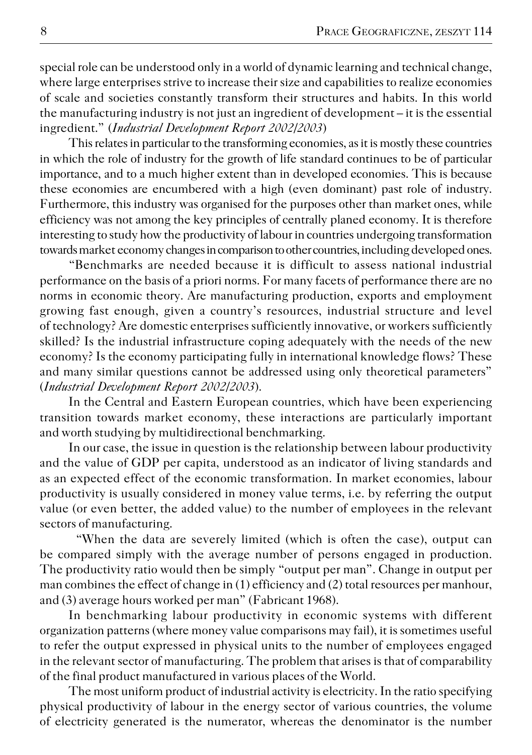special role can be understood only in a world of dynamic learning and technical change, where large enterprises strive to increase their size and capabilities to realize economies of scale and societies constantly transform their structures and habits. In this world the manufacturing industry is not just an ingredient of development – it is the essential ingredient." (*Industrial Development Report 2002/2003*)

This relates in particular to the transforming economies, as it is mostly these countries in which the role of industry for the growth of life standard continues to be of particular importance, and to a much higher extent than in developed economies. This is because these economies are encumbered with a high (even dominant) past role of industry. Furthermore, this industry was organised for the purposes other than market ones, while efficiency was not among the key principles of centrally planed economy. It is therefore interesting to study how the productivity of labour in countries undergoing transformation towards market economy changes in comparison to other countries, including developed ones.

"Benchmarks are needed because it is difficult to assess national industrial performance on the basis of a priori norms. For many facets of performance there are no norms in economic theory. Are manufacturing production, exports and employment growing fast enough, given a country's resources, industrial structure and level of technology? Are domestic enterprises sufficiently innovative, or workers sufficiently skilled? Is the industrial infrastructure coping adequately with the needs of the new economy? Is the economy participating fully in international knowledge flows? These and many similar questions cannot be addressed using only theoretical parameters" (*Industrial Development Report 2002/2003*).

In the Central and Eastern European countries, which have been experiencing transition towards market economy, these interactions are particularly important and worth studying by multidirectional benchmarking.

In our case, the issue in question is the relationship between labour productivity and the value of GDP per capita, understood as an indicator of living standards and as an expected effect of the economic transformation. In market economies, labour productivity is usually considered in money value terms, i.e. by referring the output value (or even better, the added value) to the number of employees in the relevant sectors of manufacturing.

"When the data are severely limited (which is often the case), output can be compared simply with the average number of persons engaged in production. The productivity ratio would then be simply "output per man". Change in output per man combines the effect of change in (1) efficiency and (2) total resources per manhour, and (3) average hours worked per man" (Fabricant 1968).

In benchmarking labour productivity in economic systems with different organization patterns (where money value comparisons may fail), it is sometimes useful to refer the output expressed in physical units to the number of employees engaged in the relevant sector of manufacturing. The problem that arises is that of comparability of the final product manufactured in various places of the World.

The most uniform product of industrial activity is electricity. In the ratio specifying physical productivity of labour in the energy sector of various countries, the volume of electricity generated is the numerator, whereas the denominator is the number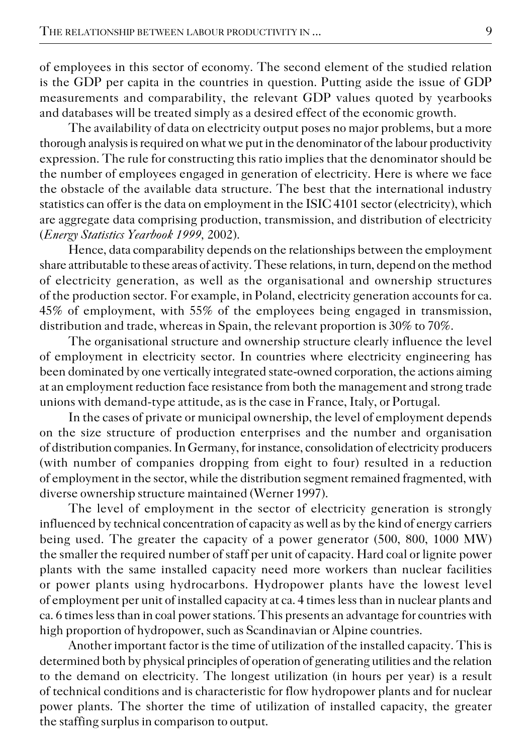of employees in this sector of economy. The second element of the studied relation is the GDP per capita in the countries in question. Putting aside the issue of GDP measurements and comparability, the relevant GDP values quoted by yearbooks and databases will be treated simply as a desired effect of the economic growth.

The availability of data on electricity output poses no major problems, but a more thorough analysis is required on what we put in the denominator of the labour productivity expression. The rule for constructing this ratio implies that the denominator should be the number of employees engaged in generation of electricity. Here is where we face the obstacle of the available data structure. The best that the international industry statistics can offer is the data on employment in the ISIC 4101 sector (electricity), which are aggregate data comprising production, transmission, and distribution of electricity (*Energy Statistics Yearbook 1999,* 2002).

Hence, data comparability depends on the relationships between the employment share attributable to these areas of activity. These relations, in turn, depend on the method of electricity generation, as well as the organisational and ownership structures of the production sector. For example, in Poland, electricity generation accounts for ca. 45% of employment, with 55% of the employees being engaged in transmission, distribution and trade, whereas in Spain, the relevant proportion is 30% to 70%.

The organisational structure and ownership structure clearly influence the level of employment in electricity sector. In countries where electricity engineering has been dominated by one vertically integrated state−owned corporation, the actions aiming at an employment reduction face resistance from both the management and strong trade unions with demand−type attitude, as is the case in France, Italy, or Portugal.

In the cases of private or municipal ownership, the level of employment depends on the size structure of production enterprises and the number and organisation of distribution companies. In Germany, for instance, consolidation of electricity producers (with number of companies dropping from eight to four) resulted in a reduction of employment in the sector, while the distribution segment remained fragmented, with diverse ownership structure maintained (Werner 1997).

The level of employment in the sector of electricity generation is strongly influenced by technical concentration of capacity as well as by the kind of energy carriers being used. The greater the capacity of a power generator (500, 800, 1000 MW) the smaller the required number of staff per unit of capacity. Hard coal or lignite power plants with the same installed capacity need more workers than nuclear facilities or power plants using hydrocarbons. Hydropower plants have the lowest level of employment per unit of installed capacity at ca. 4 times less than in nuclear plants and ca. 6 times less than in coal power stations. This presents an advantage for countries with high proportion of hydropower, such as Scandinavian or Alpine countries.

Another important factor is the time of utilization of the installed capacity. This is determined both by physical principles of operation of generating utilities and the relation to the demand on electricity. The longest utilization (in hours per year) is a result of technical conditions and is characteristic for flow hydropower plants and for nuclear power plants. The shorter the time of utilization of installed capacity, the greater the staffing surplus in comparison to output.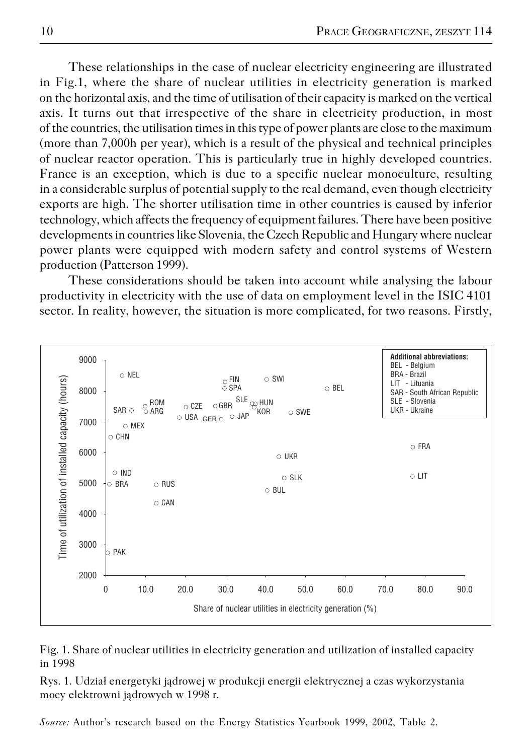These relationships in the case of nuclear electricity engineering are illustrated in Fig.1, where the share of nuclear utilities in electricity generation is marked on the horizontal axis, and the time of utilisation of their capacity is marked on the vertical axis. It turns out that irrespective of the share in electricity production, in most of the countries, the utilisation times in this type of power plants are close to the maximum (more than 7,000h per year), which is a result of the physical and technical principles of nuclear reactor operation. This is particularly true in highly developed countries. France is an exception, which is due to a specific nuclear monoculture, resulting in a considerable surplus of potential supply to the real demand, even though electricity exports are high. The shorter utilisation time in other countries is caused by inferior technology, which affects the frequency of equipment failures. There have been positive developments in countries like Slovenia, the Czech Republic and Hungary where nuclear power plants were equipped with modern safety and control systems of Western production (Patterson 1999).

These considerations should be taken into account while analysing the labour productivity in electricity with the use of data on employment level in the ISIC 4101 sector. In reality, however, the situation is more complicated, for two reasons. Firstly,



Fig. 1. Share of nuclear utilities in electricity generation and utilization of installed capacity in 1998

Rys. 1. Udział energetyki jądrowej w produkcji energii elektrycznej a czas wykorzystania mocy elektrowni jądrowych w 1998 r.

*Source:* Author's research based on the Energy Statistics Yearbook 1999, 2002, Table 2.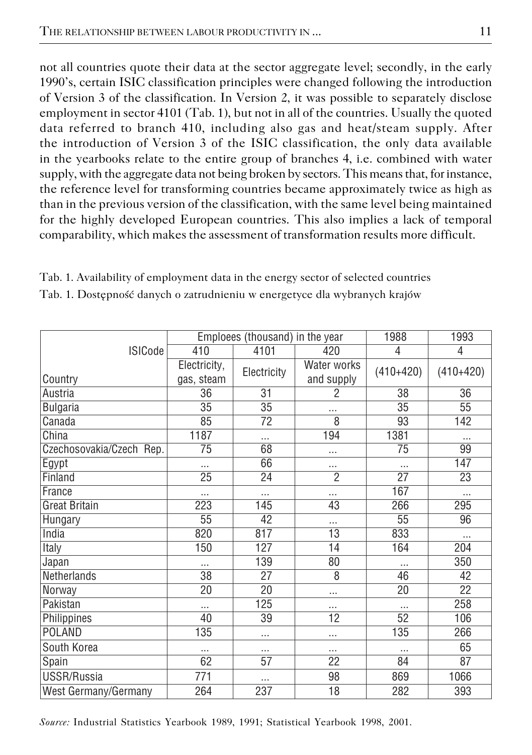not all countries quote their data at the sector aggregate level; secondly, in the early 1990's, certain ISIC classification principles were changed following the introduction of Version 3 of the classification. In Version 2, it was possible to separately disclose employment in sector 4101 (Tab. 1), but not in all of the countries. Usually the quoted data referred to branch 410, including also gas and heat/steam supply. After the introduction of Version 3 of the ISIC classification, the only data available in the yearbooks relate to the entire group of branches 4, i.e. combined with water supply, with the aggregate data not being broken by sectors. This means that, for instance, the reference level for transforming countries became approximately twice as high as than in the previous version of the classification, with the same level being maintained for the highly developed European countries. This also implies a lack of temporal comparability, which makes the assessment of transformation results more difficult.

|                          |                            | Emploees (thousand) in the year |                           | 1988            | 1993            |  |
|--------------------------|----------------------------|---------------------------------|---------------------------|-----------------|-----------------|--|
| <b>ISICode</b>           | 410                        | 4101<br>420                     |                           | 4               | 4               |  |
| Country                  | Electricity,<br>gas, steam | Electricity                     | Water works<br>and supply | $(410+420)$     | $(410+420)$     |  |
| Austria                  | 36                         | 31                              | 2                         | 38              | 36              |  |
| <b>Bulgaria</b>          | $\overline{35}$            | $\overline{35}$                 |                           | $\overline{35}$ | $\overline{55}$ |  |
| Canada                   | 85                         | 72                              | 8                         | 93              | 142             |  |
| China                    | 1187                       | .                               | 194                       | 1381            |                 |  |
| Czechosovakia/Czech Rep. | 75                         | 68                              | .                         | 75              | 99              |  |
| Egypt                    |                            | 66                              |                           |                 | 147             |  |
| Finland                  | $\overline{25}$            | 24                              | $\overline{2}$            | $\overline{27}$ | $\overline{23}$ |  |
| France                   | .                          |                                 | .                         | 167             |                 |  |
| <b>Great Britain</b>     | 223                        | 145                             | 43                        | 266             | 295             |  |
| Hungary                  | 55                         | 42                              | .                         | 55              | 96              |  |
| India                    | 820                        | 817                             | 13                        | 833             | $\cdots$        |  |
| Italy                    | 150                        | 127                             | 14                        | 164             | 204             |  |
| Japan                    |                            | 139                             | 80                        |                 | 350             |  |
| Netherlands              | $\overline{38}$            | 27                              | 8                         | 46              | 42              |  |
| Norway                   | 20                         | 20                              | $\cdots$                  | $\overline{20}$ | 22              |  |
| Pakistan                 | .                          | 125                             |                           | .               | 258             |  |
| Philippines              | 40                         | 39                              | 12                        | 52              | 106             |  |
| <b>POLAND</b>            | 135                        |                                 |                           | 135             | 266             |  |
| South Korea              |                            |                                 |                           |                 | 65              |  |
| Spain                    | 62                         | 57                              | 22                        | 84              | 87              |  |
| USSR/Russia              | 771                        | .                               | 98                        | 869             | 1066            |  |
| West Germany/Germany     | 264                        | 237                             | 18                        | 282             | 393             |  |

Tab. 1. Availability of employment data in the energy sector of selected countries

|  | Tab. 1. Dostępność danych o zatrudnieniu w energetyce dla wybranych krajów |  |  |
|--|----------------------------------------------------------------------------|--|--|
|  |                                                                            |  |  |

*Source:* Industrial Statistics Yearbook 1989, 1991; Statistical Yearbook 1998, 2001.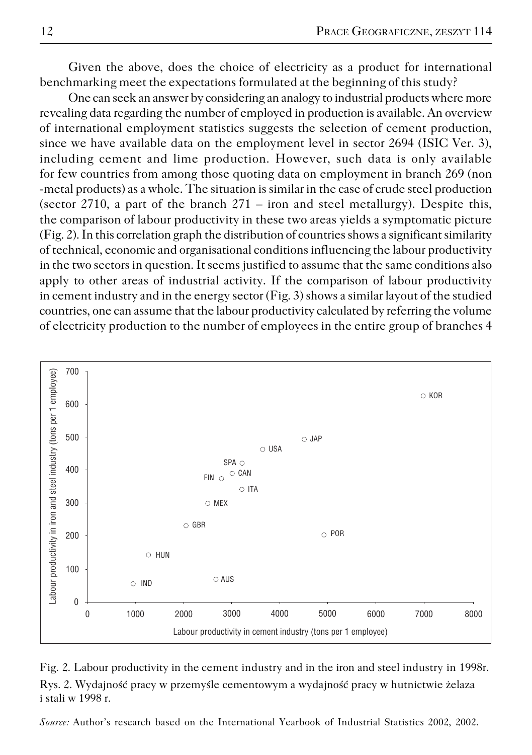Given the above, does the choice of electricity as a product for international benchmarking meet the expectations formulated at the beginning of this study?

One can seek an answer by considering an analogy to industrial products where more revealing data regarding the number of employed in production is available. An overview of international employment statistics suggests the selection of cement production, since we have available data on the employment level in sector 2694 (ISIC Ver. 3), including cement and lime production. However, such data is only available for few countries from among those quoting data on employment in branch 269 (non −metal products) as a whole. The situation is similar in the case of crude steel production (sector 2710, a part of the branch  $271 -$  iron and steel metallurgy). Despite this, the comparison of labour productivity in these two areas yields a symptomatic picture (Fig. 2). In this correlation graph the distribution of countries shows a significant similarity of technical, economic and organisational conditions influencing the labour productivity in the two sectors in question. It seems justified to assume that the same conditions also apply to other areas of industrial activity. If the comparison of labour productivity in cement industry and in the energy sector (Fig. 3) shows a similar layout of the studied countries, one can assume that the labour productivity calculated by referring the volume of electricity production to the number of employees in the entire group of branches 4



Fig. 2. Labour productivity in the cement industry and in the iron and steel industry in 1998r. Rys. 2. Wydajność pracy w przemyśle cementowym a wydajność pracy w hutnictwie żelaza i stali w 1998 r.

*Source:* Author's research based on the International Yearbook of Industrial Statistics 2002, 2002.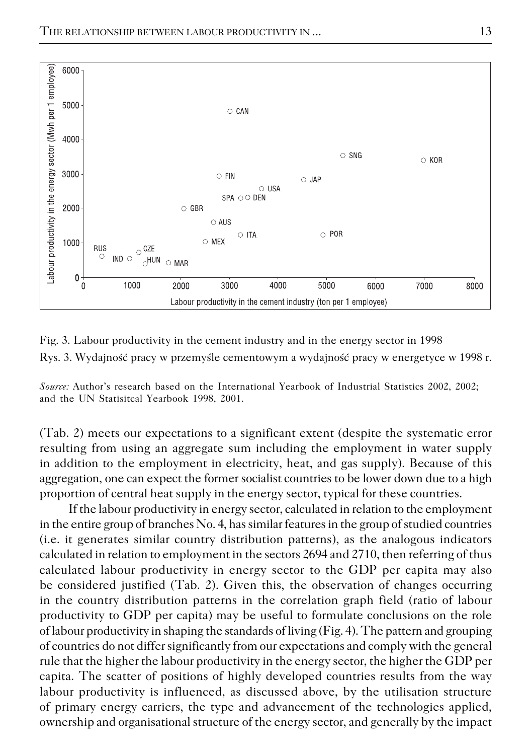

Fig. 3. Labour productivity in the cement industry and in the energy sector in 1998 Rys. 3. Wydajność pracy w przemyśle cementowym a wydajność pracy w energetyce w 1998 r.

*Source:* Author's research based on the International Yearbook of Industrial Statistics 2002, 2002; and the UN Statisitcal Yearbook 1998, 2001.

(Tab. 2) meets our expectations to a significant extent (despite the systematic error resulting from using an aggregate sum including the employment in water supply in addition to the employment in electricity, heat, and gas supply). Because of this aggregation, one can expect the former socialist countries to be lower down due to a high proportion of central heat supply in the energy sector, typical for these countries.

If the labour productivity in energy sector, calculated in relation to the employment in the entire group of branches No. 4, has similar features in the group of studied countries (i.e. it generates similar country distribution patterns), as the analogous indicators calculated in relation to employment in the sectors 2694 and 2710, then referring of thus calculated labour productivity in energy sector to the GDP per capita may also be considered justified (Tab. 2). Given this, the observation of changes occurring in the country distribution patterns in the correlation graph field (ratio of labour productivity to GDP per capita) may be useful to formulate conclusions on the role of labour productivity in shaping the standards of living (Fig. 4). The pattern and grouping of countries do not differ significantly from our expectations and comply with the general rule that the higher the labour productivity in the energy sector, the higher the GDP per capita. The scatter of positions of highly developed countries results from the way labour productivity is influenced, as discussed above, by the utilisation structure of primary energy carriers, the type and advancement of the technologies applied, ownership and organisational structure of the energy sector, and generally by the impact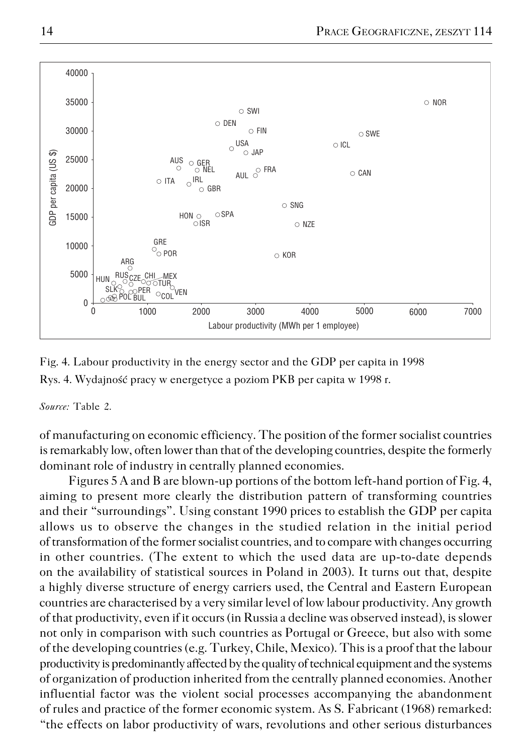

Fig. 4. Labour productivity in the energy sector and the GDP per capita in 1998 Rys. 4. Wydajność pracy w energetyce a poziom PKB per capita w 1998 r.

*Source:* Table 2.

of manufacturing on economic efficiency. The position of the former socialist countries is remarkably low, often lower than that of the developing countries, despite the formerly dominant role of industry in centrally planned economies.

Figures 5 A and B are blown−up portions of the bottom left−hand portion of Fig. 4, aiming to present more clearly the distribution pattern of transforming countries and their "surroundings". Using constant 1990 prices to establish the GDP per capita allows us to observe the changes in the studied relation in the initial period of transformation of the former socialist countries, and to compare with changes occurring in other countries. (The extent to which the used data are up−to−date depends on the availability of statistical sources in Poland in 2003). It turns out that, despite a highly diverse structure of energy carriers used, the Central and Eastern European countries are characterised by a very similar level of low labour productivity. Any growth of that productivity, even if it occurs (in Russia a decline was observed instead), is slower not only in comparison with such countries as Portugal or Greece, but also with some of the developing countries (e.g. Turkey, Chile, Mexico). This is a proof that the labour productivity is predominantly affected by the quality of technical equipment and the systems of organization of production inherited from the centrally planned economies. Another influential factor was the violent social processes accompanying the abandonment of rules and practice of the former economic system. As S. Fabricant (1968) remarked: "the effects on labor productivity of wars, revolutions and other serious disturbances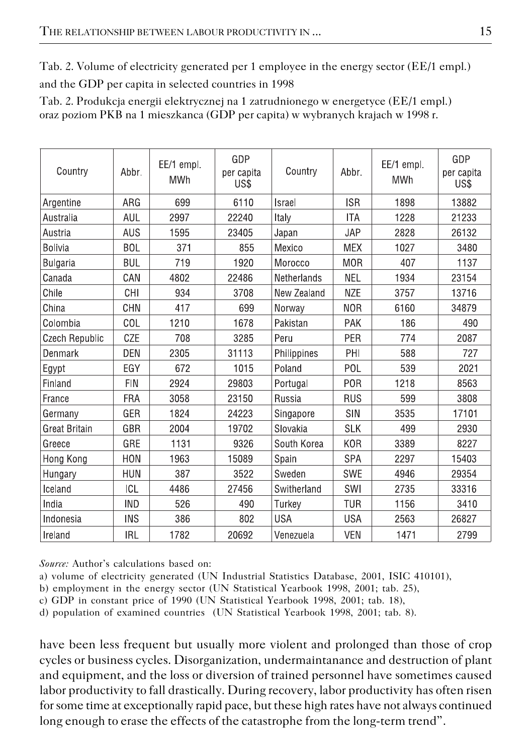Tab. 2. Volume of electricity generated per 1 employee in the energy sector (EE/1 empl.) and the GDP per capita in selected countries in 1998

Tab. 2. Produkcja energii elektrycznej na 1 zatrudnionego w energetyce (EE/1 empl.) oraz poziom PKB na 1 mieszkanca (GDP per capita) w wybranych krajach w 1998 r.

| Country               | Abbr.      | EE/1 empl.<br>MWh | GDP<br>per capita<br>US\$ | Country     | Abbr.      | EE/1 empl.<br><b>MWh</b> | GDP<br>per capita<br>US\$ |
|-----------------------|------------|-------------------|---------------------------|-------------|------------|--------------------------|---------------------------|
| Argentine             | ARG        | 699               | 6110                      | Israel      | <b>ISR</b> |                          | 13882                     |
| Australia             | <b>AUL</b> | 2997              | 22240                     | Italy       | <b>ITA</b> | 1228                     | 21233                     |
| Austria               | <b>AUS</b> | 1595              | 23405                     | Japan       | <b>JAP</b> | 2828                     | 26132                     |
| <b>Bolivia</b>        | <b>BOL</b> | 371               | 855                       | Mexico      | <b>MEX</b> | 1027                     | 3480                      |
| Bulgaria              | <b>BUL</b> | 719               | 1920                      | Morocco     | <b>MOR</b> | 407                      | 1137                      |
| Canada                | CAN        | 4802              | 22486                     | Netherlands | <b>NEL</b> | 1934                     | 23154                     |
| Chile                 | CHI        | 934               | 3708                      | New Zealand | <b>NZE</b> | 3757                     | 13716                     |
| China                 | CHN        | 417               | 699                       | Norway      | <b>NOR</b> | 6160                     | 34879                     |
| Colombia              | COL        | 1210              | 1678                      | Pakistan    | PAK        | 186                      | 490                       |
| <b>Czech Republic</b> | CZE        | 708               | 3285                      | Peru        | PER        | 774                      | 2087                      |
| Denmark               | DEN        | 2305              | 31113                     | Philippines | PHI        | 588                      | 727                       |
| Egypt                 | EGY        | 672               | 1015                      | Poland      | POL        | 539                      | 2021                      |
| Finland               | <b>FIN</b> | 2924              | 29803                     | Portugal    | <b>POR</b> | 1218                     | 8563                      |
| France                | <b>FRA</b> | 3058              | 23150                     | Russia      | <b>RUS</b> | 599                      | 3808                      |
| Germany               | GER        | 1824              | 24223                     | Singapore   | SIN        | 3535                     | 17101                     |
| <b>Great Britain</b>  | GBR        | 2004              | 19702                     | Slovakia    | <b>SLK</b> | 499                      | 2930                      |
| Greece                | GRE        | 1131              | 9326                      | South Korea | <b>KOR</b> | 3389                     | 8227                      |
| Hong Kong             | <b>HON</b> | 1963              | 15089                     | Spain       | <b>SPA</b> | 2297                     | 15403                     |
| Hungary               | <b>HUN</b> | 387               | 3522                      | Sweden      | <b>SWE</b> | 4946                     | 29354                     |
| Iceland               | ICL        | 4486              | 27456                     | Switherland | SWI        | 2735                     | 33316                     |
| India                 | <b>IND</b> | 526               | 490                       | Turkev      | TUR        | 1156                     | 3410                      |
| Indonesia             | <b>INS</b> | 386               | 802                       | <b>USA</b>  | <b>USA</b> | 2563                     | 26827                     |
| Ireland               | <b>IRL</b> | 1782              | 20692                     | Venezuela   | <b>VEN</b> | 1471                     | 2799                      |

*Source:* Author's calculations based on:

a) volume of electricity generated (UN Industrial Statistics Database, 2001, ISIC 410101),

b) employment in the energy sector (UN Statistical Yearbook 1998, 2001; tab. 25),

c) GDP in constant price of 1990 (UN Statistical Yearbook 1998, 2001; tab. 18),

d) population of examined countries (UN Statistical Yearbook 1998, 2001; tab. 8).

have been less frequent but usually more violent and prolonged than those of crop cycles or business cycles. Disorganization, undermaintanance and destruction of plant and equipment, and the loss or diversion of trained personnel have sometimes caused labor productivity to fall drastically. During recovery, labor productivity has often risen for some time at exceptionally rapid pace, but these high rates have not always continued long enough to erase the effects of the catastrophe from the long−term trend".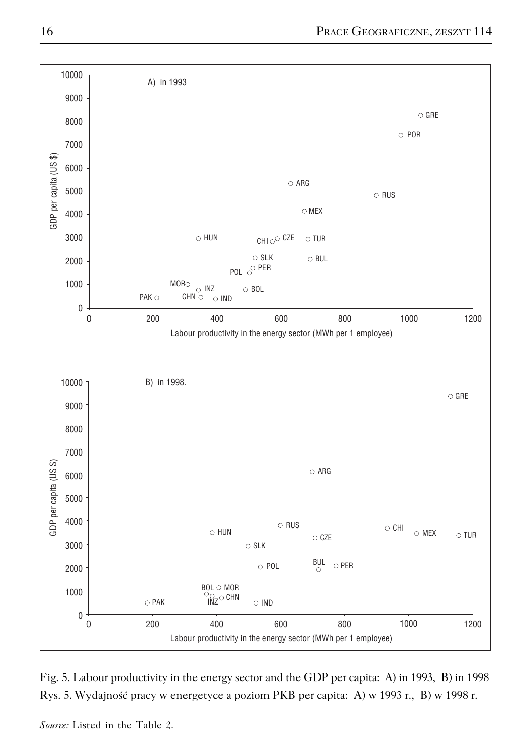

Fig. 5. Labour productivity in the energy sector and the GDP per capita: A) in 1993, B) in 1998 Rys. 5. Wydajność pracy w energetyce a poziom PKB per capita: A) w 1993 r., B) w 1998 r.

*Source:* Listed in the Table 2.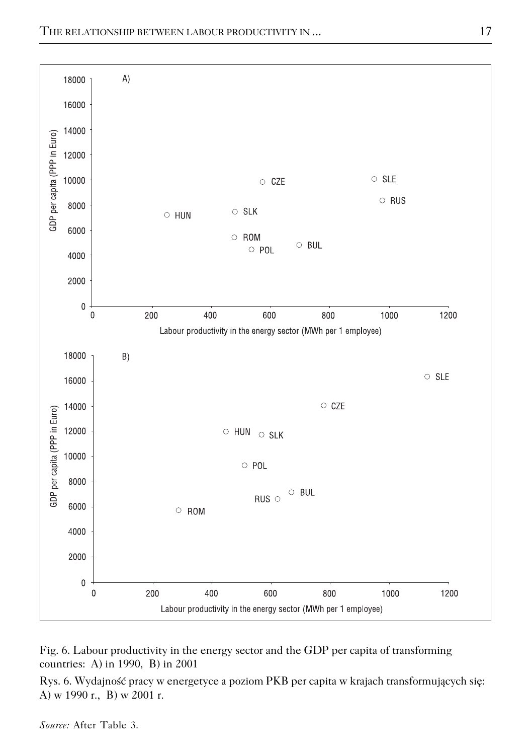

Fig. 6. Labour productivity in the energy sector and the GDP per capita of transforming countries: A) in 1990, B) in 2001

Rys. 6. Wydajność pracy w energetyce a poziom PKB per capita w krajach transformujących się: A) w 1990 r., B) w 2001 r.

*Source:* After Table 3.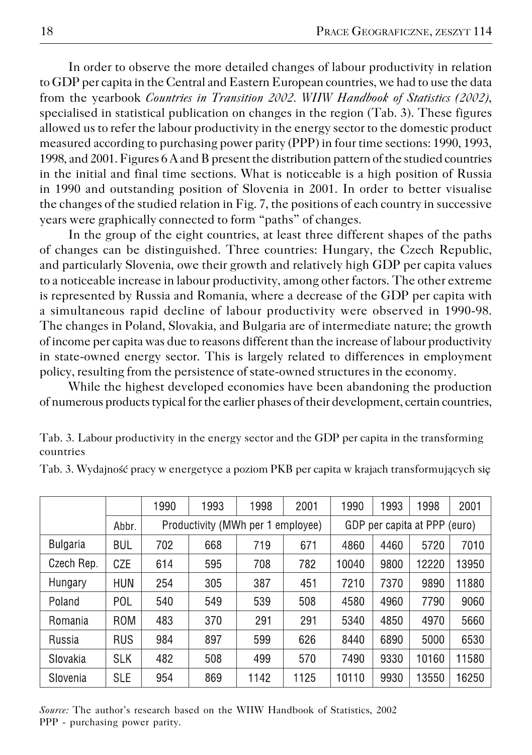In order to observe the more detailed changes of labour productivity in relation to GDP per capita in the Central and Eastern European countries, we had to use the data from the yearbook *Countries in Transition 2002. WIIW Handbook of Statistics (2002)*, specialised in statistical publication on changes in the region (Tab. 3). These figures allowed us to refer the labour productivity in the energy sector to the domestic product measured according to purchasing power parity (PPP) in four time sections: 1990, 1993, 1998, and 2001. Figures 6 A and B present the distribution pattern of the studied countries in the initial and final time sections. What is noticeable is a high position of Russia in 1990 and outstanding position of Slovenia in 2001. In order to better visualise the changes of the studied relation in Fig. 7, the positions of each country in successive years were graphically connected to form "paths" of changes.

In the group of the eight countries, at least three different shapes of the paths of changes can be distinguished. Three countries: Hungary, the Czech Republic, and particularly Slovenia, owe their growth and relatively high GDP per capita values to a noticeable increase in labour productivity, among other factors. The other extreme is represented by Russia and Romania, where a decrease of the GDP per capita with a simultaneous rapid decline of labour productivity were observed in 1990−98. The changes in Poland, Slovakia, and Bulgaria are of intermediate nature; the growth of income per capita was due to reasons different than the increase of labour productivity in state−owned energy sector. This is largely related to differences in employment policy, resulting from the persistence of state−owned structures in the economy.

While the highest developed economies have been abandoning the production of numerous products typical for the earlier phases of their development, certain countries,

Tab. 3. Labour productivity in the energy sector and the GDP per capita in the transforming countries

|                 |            | 1990 | 1993                              | 1998 | 2001 | 1990  | 1993                         | 1998  | 2001  |  |
|-----------------|------------|------|-----------------------------------|------|------|-------|------------------------------|-------|-------|--|
|                 | Abbr.      |      | Productivity (MWh per 1 employee) |      |      |       | GDP per capita at PPP (euro) |       |       |  |
| <b>Bulgaria</b> | <b>BUL</b> | 702  | 668                               | 719  | 671  | 4860  | 4460                         | 5720  | 7010  |  |
| Czech Rep.      | CZE        | 614  | 595                               | 708  | 782  | 10040 | 9800                         | 12220 | 13950 |  |
| Hungary         | <b>HUN</b> | 254  | 305                               | 387  | 451  | 7210  | 7370                         | 9890  | 11880 |  |
| Poland          | POL        | 540  | 549                               | 539  | 508  | 4580  | 4960                         | 7790  | 9060  |  |
| Romania         | <b>ROM</b> | 483  | 370                               | 291  | 291  | 5340  | 4850                         | 4970  | 5660  |  |
| Russia          | <b>RUS</b> | 984  | 897                               | 599  | 626  | 8440  | 6890                         | 5000  | 6530  |  |
| Slovakia        | <b>SLK</b> | 482  | 508                               | 499  | 570  | 7490  | 9330                         | 10160 | 11580 |  |
| Slovenia        | <b>SLE</b> | 954  | 869                               | 1142 | 1125 | 10110 | 9930                         | 13550 | 16250 |  |

Tab. 3. Wydajność pracy w energetyce a poziom PKB per capita w krajach transformujących się

*Source:* The author's research based on the WIIW Handbook of Statistics, 2002 PPP - purchasing power parity.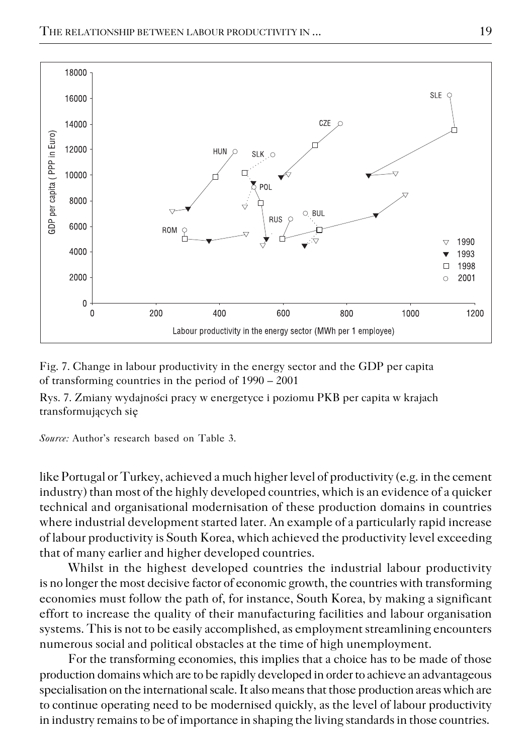

Fig. 7. Change in labour productivity in the energy sector and the GDP per capita of transforming countries in the period of 1990 – 2001

Rys. 7. Zmiany wydajności pracy w energetyce i poziomu PKB per capita w krajach transformujących się

*Source:* Author's research based on Table 3.

like Portugal or Turkey, achieved a much higher level of productivity (e.g. in the cement industry) than most of the highly developed countries, which is an evidence of a quicker technical and organisational modernisation of these production domains in countries where industrial development started later. An example of a particularly rapid increase of labour productivity is South Korea, which achieved the productivity level exceeding that of many earlier and higher developed countries.

Whilst in the highest developed countries the industrial labour productivity is no longer the most decisive factor of economic growth, the countries with transforming economies must follow the path of, for instance, South Korea, by making a significant effort to increase the quality of their manufacturing facilities and labour organisation systems. This is not to be easily accomplished, as employment streamlining encounters numerous social and political obstacles at the time of high unemployment.

For the transforming economies, this implies that a choice has to be made of those production domains which are to be rapidly developed in order to achieve an advantageous specialisation on the international scale. It also means that those production areas which are to continue operating need to be modernised quickly, as the level of labour productivity in industry remains to be of importance in shaping the living standards in those countries.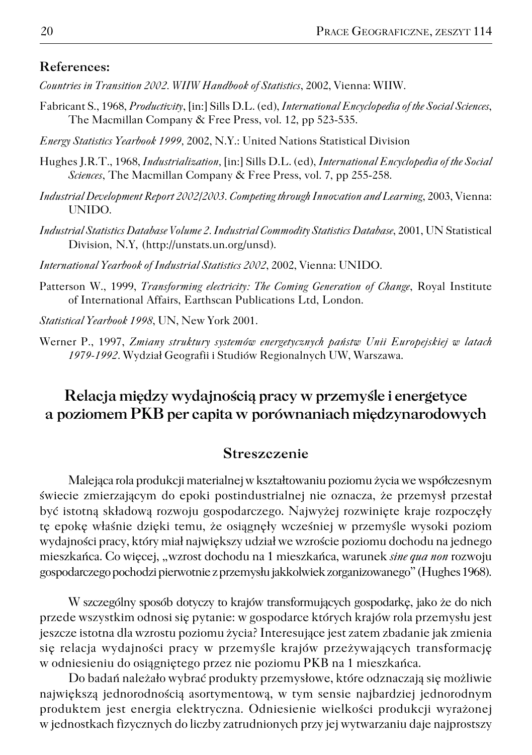## **References:**

- *Countries in Transition 2002. WIIW Handbook of Statistics*, 2002, Vienna: WIIW.
- Fabricant S., 1968, *Productivity*, [in:] Sills D.L. (ed), *International Encyclopedia of the Social Sciences*, The Macmillan Company & Free Press, vol. 12, pp 523−535.
- *Energy Statistics Yearbook 1999,* 2002, N.Y.: United Nations Statistical Division
- Hughes J.R.T., 1968, *Industrialization,* [in:] Sills D.L. (ed), *International Encyclopedia of the Social Sciences*, The Macmillan Company & Free Press, vol. 7, pp 255−258.
- *Industrial Development Report 2002/2003. Competing through Innovation and Learning*, 2003, Vienna: UNIDO.
- *Industrial Statistics Database Volume 2. Industrial Commodity Statistics Database*, 2001, UN Statistical Division, N.Y, (http://unstats.un.org/unsd).
- *International Yearbook of Industrial Statistics 2002*, 2002, Vienna: UNIDO.
- Patterson W., 1999, *Transforming electricity: The Coming Generation of Change*, Royal Institute of International Affairs, Earthscan Publications Ltd, London.
- *Statistical Yearbook 1998*, UN, New York 2001.
- Werner P., 1997, *Zmiany struktury systemów energetycznych państw Unii Europejskiej w latach 1979−1992*. Wydział Geografii i Studiów Regionalnych UW, Warszawa.

## **Relacja między wydajnością pracy w przemyśle i energetyce apoziomem PKB per capita wporównaniach międzynarodowych**

## **Streszczenie**

Malejąca rola produkcji materialnej w kształtowaniu poziomu życia we współczesnym świecie zmierzającym do epoki postindustrialnej nie oznacza, że przemysł przestał być istotną składową rozwoju gospodarczego. Najwyżej rozwinięte kraje rozpoczęły tę epokę właśnie dzięki temu, że osiągnęły wcześniej w przemyśle wysoki poziom wydajności pracy, który miał największy udział we wzroście poziomu dochodu na jednego mieszkańca. Co więcej, "wzrost dochodu na 1 mieszkańca, warunek *sine qua non* rozwoju gospodarczego pochodzi pierwotnie z przemysłu jakkolwiek zorganizowanego" (Hughes 1968).

W szczególny sposób dotyczy to krajów transformujących gospodarkę, jako że do nich przede wszystkim odnosi się pytanie: w gospodarce których krajów rola przemysłu jest jeszcze istotna dla wzrostu poziomu życia? Interesujące jest zatem zbadanie jak zmienia się relacja wydajności pracy w przemyśle krajów przeżywających transformację w odniesieniu do osiągniętego przez nie poziomu PKB na 1 mieszkańca.

Do badań należało wybrać produkty przemysłowe, które odznaczają się możliwie największą jednorodnością asortymentową, w tym sensie najbardziej jednorodnym produktem jest energia elektryczna. Odniesienie wielkości produkcji wyrażonej w jednostkach fizycznych do liczby zatrudnionych przy jej wytwarzaniu daje najprostszy